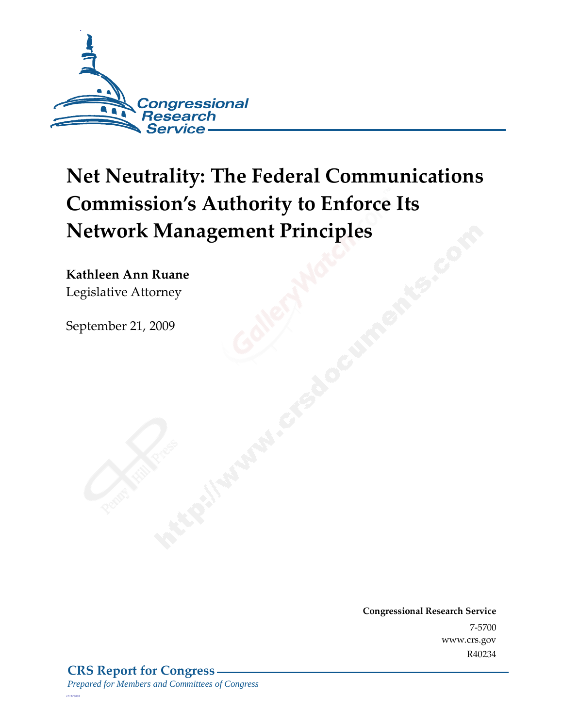

# **Net Neutrality: The Federal Communications Commission's Authority to Enforce Its Network Management Principles**

**Kathleen Ann Ruane**  Legislative Attorney

September 21, 2009

**Congressional Research Service** 7-5700 www.crs.gov R40234

*c11173008*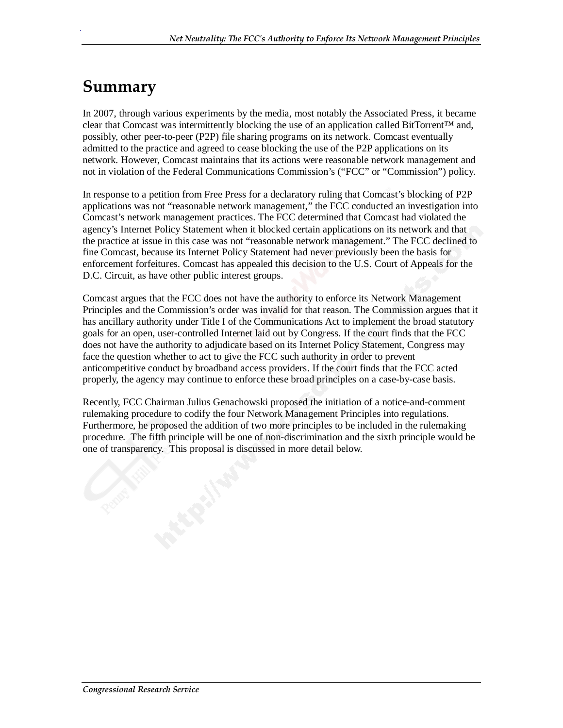### **Summary**

.

In 2007, through various experiments by the media, most notably the Associated Press, it became clear that Comcast was intermittently blocking the use of an application called BitTorrent™ and, possibly, other peer-to-peer (P2P) file sharing programs on its network. Comcast eventually admitted to the practice and agreed to cease blocking the use of the P2P applications on its network. However, Comcast maintains that its actions were reasonable network management and not in violation of the Federal Communications Commission's ("FCC" or "Commission") policy.

In response to a petition from Free Press for a declaratory ruling that Comcast's blocking of P2P applications was not "reasonable network management," the FCC conducted an investigation into Comcast's network management practices. The FCC determined that Comcast had violated the agency's Internet Policy Statement when it blocked certain applications on its network and that the practice at issue in this case was not "reasonable network management." The FCC declined to fine Comcast, because its Internet Policy Statement had never previously been the basis for enforcement forfeitures. Comcast has appealed this decision to the U.S. Court of Appeals for the D.C. Circuit, as have other public interest groups.

Comcast argues that the FCC does not have the authority to enforce its Network Management Principles and the Commission's order was invalid for that reason. The Commission argues that it has ancillary authority under Title I of the Communications Act to implement the broad statutory goals for an open, user-controlled Internet laid out by Congress. If the court finds that the FCC does not have the authority to adjudicate based on its Internet Policy Statement, Congress may face the question whether to act to give the FCC such authority in order to prevent anticompetitive conduct by broadband access providers. If the court finds that the FCC acted properly, the agency may continue to enforce these broad principles on a case-by-case basis.

Recently, FCC Chairman Julius Genachowski proposed the initiation of a notice-and-comment rulemaking procedure to codify the four Network Management Principles into regulations. Furthermore, he proposed the addition of two more principles to be included in the rulemaking procedure. The fifth principle will be one of non-discrimination and the sixth principle would be one of transparency. This proposal is discussed in more detail below.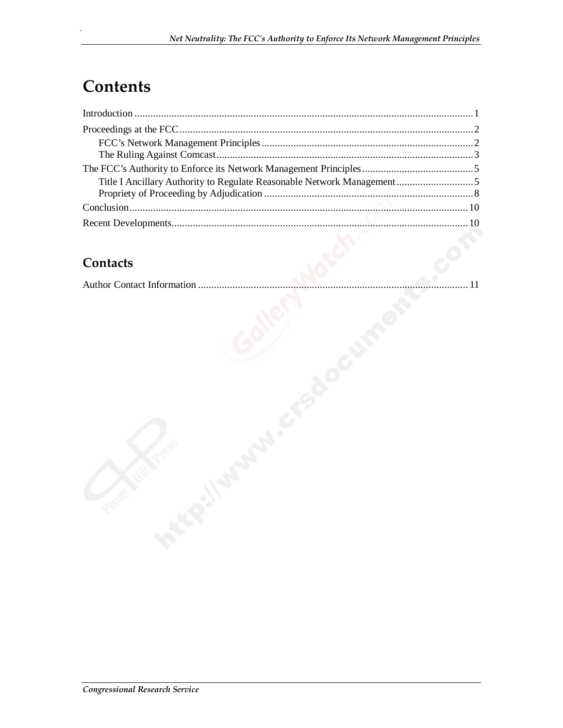# **Contents**

.

#### **Contacts**

|--|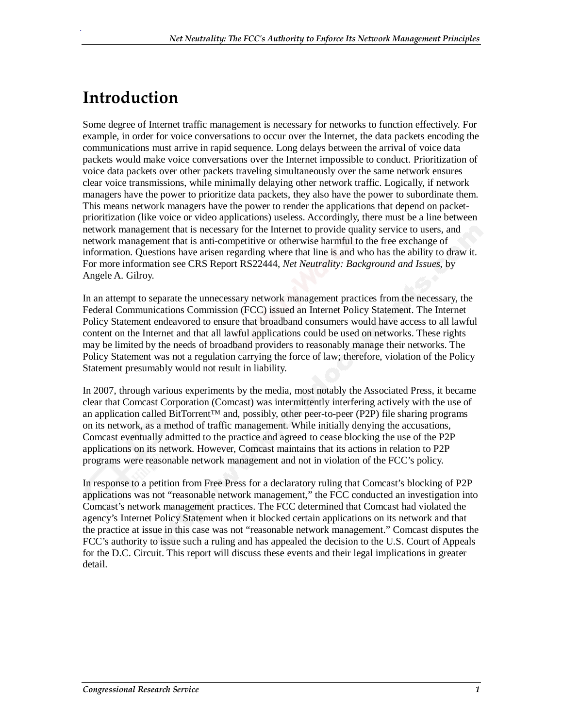# **Introduction**

.

Some degree of Internet traffic management is necessary for networks to function effectively. For example, in order for voice conversations to occur over the Internet, the data packets encoding the communications must arrive in rapid sequence. Long delays between the arrival of voice data packets would make voice conversations over the Internet impossible to conduct. Prioritization of voice data packets over other packets traveling simultaneously over the same network ensures clear voice transmissions, while minimally delaying other network traffic. Logically, if network managers have the power to prioritize data packets, they also have the power to subordinate them. This means network managers have the power to render the applications that depend on packetprioritization (like voice or video applications) useless. Accordingly, there must be a line between network management that is necessary for the Internet to provide quality service to users, and network management that is anti-competitive or otherwise harmful to the free exchange of information. Questions have arisen regarding where that line is and who has the ability to draw it. For more information see CRS Report RS22444, *Net Neutrality: Background and Issues*, by Angele A. Gilroy.

In an attempt to separate the unnecessary network management practices from the necessary, the Federal Communications Commission (FCC) issued an Internet Policy Statement. The Internet Policy Statement endeavored to ensure that broadband consumers would have access to all lawful content on the Internet and that all lawful applications could be used on networks. These rights may be limited by the needs of broadband providers to reasonably manage their networks. The Policy Statement was not a regulation carrying the force of law; therefore, violation of the Policy Statement presumably would not result in liability.

In 2007, through various experiments by the media, most notably the Associated Press, it became clear that Comcast Corporation (Comcast) was intermittently interfering actively with the use of an application called BitTorrent™ and, possibly, other peer-to-peer (P2P) file sharing programs on its network, as a method of traffic management. While initially denying the accusations, Comcast eventually admitted to the practice and agreed to cease blocking the use of the P2P applications on its network. However, Comcast maintains that its actions in relation to P2P programs were reasonable network management and not in violation of the FCC's policy.

In response to a petition from Free Press for a declaratory ruling that Comcast's blocking of P2P applications was not "reasonable network management," the FCC conducted an investigation into Comcast's network management practices. The FCC determined that Comcast had violated the agency's Internet Policy Statement when it blocked certain applications on its network and that the practice at issue in this case was not "reasonable network management." Comcast disputes the FCC's authority to issue such a ruling and has appealed the decision to the U.S. Court of Appeals for the D.C. Circuit. This report will discuss these events and their legal implications in greater detail.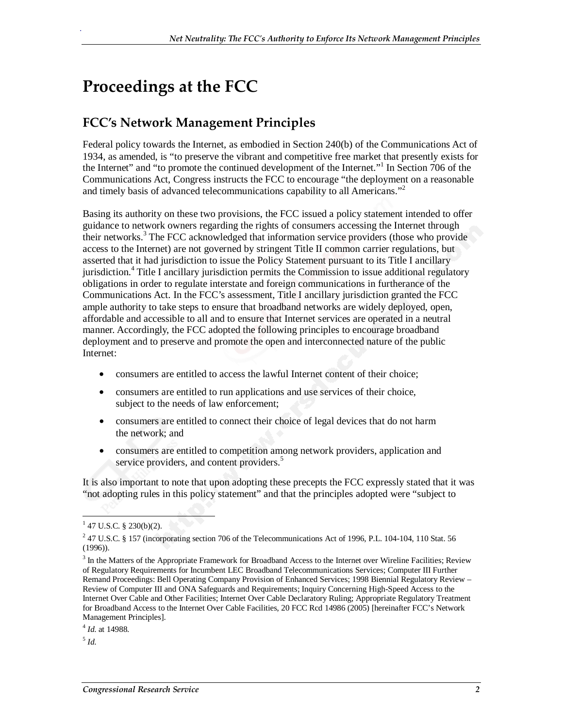# **Proceedings at the FCC**

.

#### **FCC's Network Management Principles**

Federal policy towards the Internet, as embodied in Section 240(b) of the Communications Act of 1934, as amended, is "to preserve the vibrant and competitive free market that presently exists for the Internet" and "to promote the continued development of the Internet."<sup>1</sup> In Section 706 of the Communications Act, Congress instructs the FCC to encourage "the deployment on a reasonable and timely basis of advanced telecommunications capability to all Americans."<sup>2</sup>

Basing its authority on these two provisions, the FCC issued a policy statement intended to offer guidance to network owners regarding the rights of consumers accessing the Internet through their networks.<sup>3</sup> The FCC acknowledged that information service providers (those who provide access to the Internet) are not governed by stringent Title II common carrier regulations, but asserted that it had jurisdiction to issue the Policy Statement pursuant to its Title I ancillary jurisdiction.<sup>4</sup> Title I ancillary jurisdiction permits the Commission to issue additional regulatory obligations in order to regulate interstate and foreign communications in furtherance of the Communications Act. In the FCC's assessment, Title I ancillary jurisdiction granted the FCC ample authority to take steps to ensure that broadband networks are widely deployed, open, affordable and accessible to all and to ensure that Internet services are operated in a neutral manner. Accordingly, the FCC adopted the following principles to encourage broadband deployment and to preserve and promote the open and interconnected nature of the public Internet:

- consumers are entitled to access the lawful Internet content of their choice;
- consumers are entitled to run applications and use services of their choice, subject to the needs of law enforcement;
- consumers are entitled to connect their choice of legal devices that do not harm the network; and
- consumers are entitled to competition among network providers, application and service providers, and content providers.<sup>5</sup>

It is also important to note that upon adopting these precepts the FCC expressly stated that it was "not adopting rules in this policy statement" and that the principles adopted were "subject to

 $<sup>5</sup>$  *Id.*</sup>

 $\frac{1}{1}$  47 U.S.C. § 230(b)(2).

 $247$  U.S.C. § 157 (incorporating section 706 of the Telecommunications Act of 1996, P.L. 104-104, 110 Stat. 56 (1996)).

 $3$  In the Matters of the Appropriate Framework for Broadband Access to the Internet over Wireline Facilities; Review of Regulatory Requirements for Incumbent LEC Broadband Telecommunications Services; Computer III Further Remand Proceedings: Bell Operating Company Provision of Enhanced Services; 1998 Biennial Regulatory Review – Review of Computer III and ONA Safeguards and Requirements; Inquiry Concerning High-Speed Access to the Internet Over Cable and Other Facilities; Internet Over Cable Declaratory Ruling; Appropriate Regulatory Treatment for Broadband Access to the Internet Over Cable Facilities, 20 FCC Rcd 14986 (2005) [hereinafter FCC's Network Management Principles].

<sup>4</sup> *Id*. at 14988.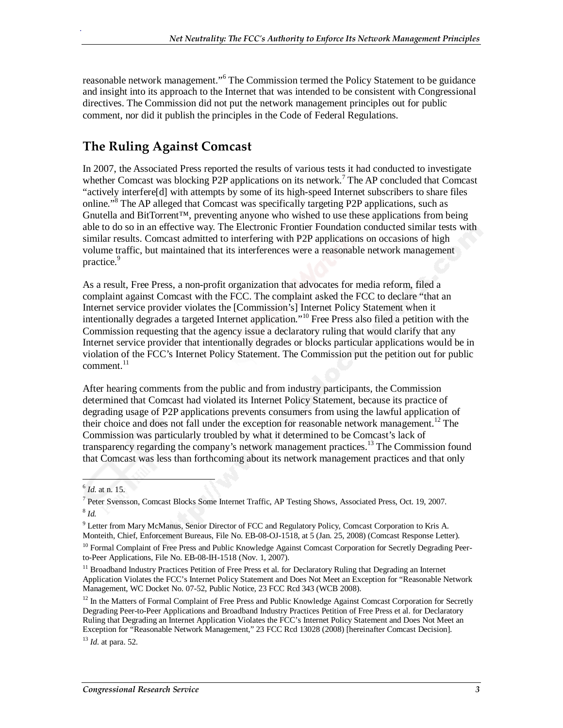reasonable network management."<sup>6</sup> The Commission termed the Policy Statement to be guidance and insight into its approach to the Internet that was intended to be consistent with Congressional directives. The Commission did not put the network management principles out for public comment, nor did it publish the principles in the Code of Federal Regulations.

#### **The Ruling Against Comcast**

.

In 2007, the Associated Press reported the results of various tests it had conducted to investigate whether Comcast was blocking P2P applications on its network.<sup>7</sup> The AP concluded that Comcast "actively interfere[d] with attempts by some of its high-speed Internet subscribers to share files online."<sup>8</sup> The AP alleged that Comcast was specifically targeting P2P applications, such as Gnutella and BitTorrent<sup>TM</sup>, preventing anyone who wished to use these applications from being able to do so in an effective way. The Electronic Frontier Foundation conducted similar tests with similar results. Comcast admitted to interfering with P2P applications on occasions of high volume traffic, but maintained that its interferences were a reasonable network management practice.<sup>9</sup>

As a result, Free Press, a non-profit organization that advocates for media reform, filed a complaint against Comcast with the FCC. The complaint asked the FCC to declare "that an Internet service provider violates the [Commission's] Internet Policy Statement when it intentionally degrades a targeted Internet application."10 Free Press also filed a petition with the Commission requesting that the agency issue a declaratory ruling that would clarify that any Internet service provider that intentionally degrades or blocks particular applications would be in violation of the FCC's Internet Policy Statement. The Commission put the petition out for public comment. $^{11}$ 

After hearing comments from the public and from industry participants, the Commission determined that Comcast had violated its Internet Policy Statement, because its practice of degrading usage of P2P applications prevents consumers from using the lawful application of their choice and does not fall under the exception for reasonable network management.<sup>12</sup> The Commission was particularly troubled by what it determined to be Comcast's lack of transparency regarding the company's network management practices.<sup>13</sup> The Commission found that Comcast was less than forthcoming about its network management practices and that only

<sup>13</sup> *Id*. at para. 52.

 $\overline{\phantom{a}}$ <sup>6</sup> *Id*. at n. 15.

<sup>&</sup>lt;sup>7</sup> Peter Svensson, Comcast Blocks Some Internet Traffic, AP Testing Shows, Associated Press, Oct. 19, 2007. <sup>8</sup> *Id.*

<sup>&</sup>lt;sup>9</sup> Letter from Mary McManus, Senior Director of FCC and Regulatory Policy, Comcast Corporation to Kris A. Monteith, Chief, Enforcement Bureaus, File No. EB-08-OJ-1518, at 5 (Jan. 25, 2008) (Comcast Response Letter).

<sup>&</sup>lt;sup>10</sup> Formal Complaint of Free Press and Public Knowledge Against Comcast Corporation for Secretly Degrading Peerto-Peer Applications, File No. EB-08-IH-1518 (Nov. 1, 2007).

<sup>&</sup>lt;sup>11</sup> Broadband Industry Practices Petition of Free Press et al. for Declaratory Ruling that Degrading an Internet Application Violates the FCC's Internet Policy Statement and Does Not Meet an Exception for "Reasonable Network Management, WC Docket No. 07-52, Public Notice, 23 FCC Rcd 343 (WCB 2008).

 $12$  In the Matters of Formal Complaint of Free Press and Public Knowledge Against Comcast Corporation for Secretly Degrading Peer-to-Peer Applications and Broadband Industry Practices Petition of Free Press et al. for Declaratory Ruling that Degrading an Internet Application Violates the FCC's Internet Policy Statement and Does Not Meet an Exception for "Reasonable Network Management," 23 FCC Rcd 13028 (2008) [hereinafter Comcast Decision].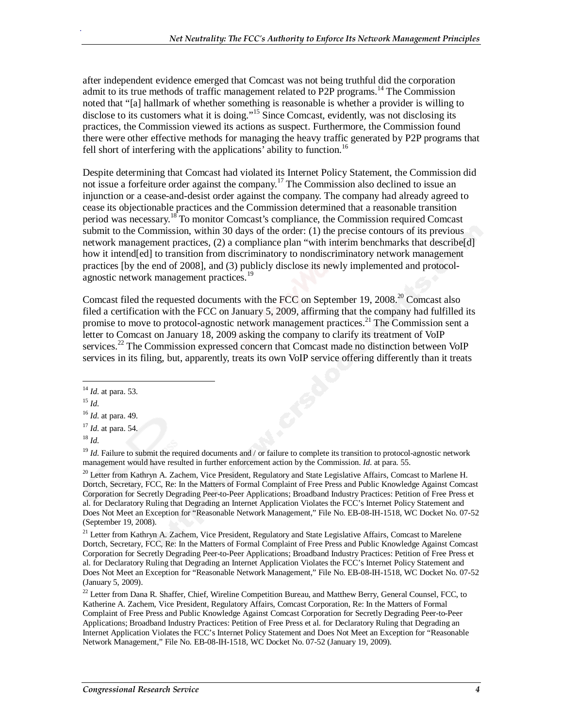after independent evidence emerged that Comcast was not being truthful did the corporation admit to its true methods of traffic management related to P2P programs.<sup>14</sup> The Commission noted that "[a] hallmark of whether something is reasonable is whether a provider is willing to disclose to its customers what it is doing."<sup>15</sup> Since Comcast, evidently, was not disclosing its practices, the Commission viewed its actions as suspect. Furthermore, the Commission found there were other effective methods for managing the heavy traffic generated by P2P programs that fell short of interfering with the applications' ability to function.<sup>16</sup>

Despite determining that Comcast had violated its Internet Policy Statement, the Commission did not issue a forfeiture order against the company.17 The Commission also declined to issue an injunction or a cease-and-desist order against the company. The company had already agreed to cease its objectionable practices and the Commission determined that a reasonable transition period was necessary.<sup>18</sup> To monitor Comcast's compliance, the Commission required Comcast submit to the Commission, within 30 days of the order: (1) the precise contours of its previous network management practices, (2) a compliance plan "with interim benchmarks that describe[d] how it intend[ed] to transition from discriminatory to nondiscriminatory network management practices [by the end of 2008], and (3) publicly disclose its newly implemented and protocolagnostic network management practices.<sup>19</sup>

Comcast filed the requested documents with the FCC on September 19, 2008.<sup>20</sup> Comcast also filed a certification with the FCC on January 5, 2009, affirming that the company had fulfilled its promise to move to protocol-agnostic network management practices.<sup>21</sup> The Commission sent a letter to Comcast on January 18, 2009 asking the company to clarify its treatment of VoIP services.<sup>22</sup> The Commission expressed concern that Comcast made no distinction between VoIP services in its filing, but, apparently, treats its own VoIP service offering differently than it treats

.

<sup>18</sup> *Id*.

<sup>19</sup> *Id*. Failure to submit the required documents and / or failure to complete its transition to protocol-agnostic network management would have resulted in further enforcement action by the Commission. *Id*. at para. 55.

<sup>20</sup> Letter from Kathryn A. Zachem, Vice President, Regulatory and State Legislative Affairs, Comcast to Marlene H. Dortch, Secretary, FCC, Re: In the Matters of Formal Complaint of Free Press and Public Knowledge Against Comcast Corporation for Secretly Degrading Peer-to-Peer Applications; Broadband Industry Practices: Petition of Free Press et al. for Declaratory Ruling that Degrading an Internet Application Violates the FCC's Internet Policy Statement and Does Not Meet an Exception for "Reasonable Network Management," File No. EB-08-IH-1518, WC Docket No. 07-52 (September 19, 2008).

<sup>21</sup> Letter from Kathryn A. Zachem, Vice President, Regulatory and State Legislative Affairs, Comcast to Marelene Dortch, Secretary, FCC, Re: In the Matters of Formal Complaint of Free Press and Public Knowledge Against Comcast Corporation for Secretly Degrading Peer-to-Peer Applications; Broadband Industry Practices: Petition of Free Press et al. for Declaratory Ruling that Degrading an Internet Application Violates the FCC's Internet Policy Statement and Does Not Meet an Exception for "Reasonable Network Management," File No. EB-08-IH-1518, WC Docket No. 07-52 (January 5, 2009).

<sup>22</sup> Letter from Dana R. Shaffer, Chief, Wireline Competition Bureau, and Matthew Berry, General Counsel, FCC, to Katherine A. Zachem, Vice President, Regulatory Affairs, Comcast Corporation, Re: In the Matters of Formal Complaint of Free Press and Public Knowledge Against Comcast Corporation for Secretly Degrading Peer-to-Peer Applications; Broadband Industry Practices: Petition of Free Press et al. for Declaratory Ruling that Degrading an Internet Application Violates the FCC's Internet Policy Statement and Does Not Meet an Exception for "Reasonable Network Management," File No. EB-08-IH-1518, WC Docket No. 07-52 (January 19, 2009).

<sup>&</sup>lt;u>.</u> <sup>14</sup> *Id*. at para. 53.

 $^{15}$  *Id.* 

<sup>16</sup> *Id*. at para. 49.

<sup>17</sup> *Id*. at para. 54.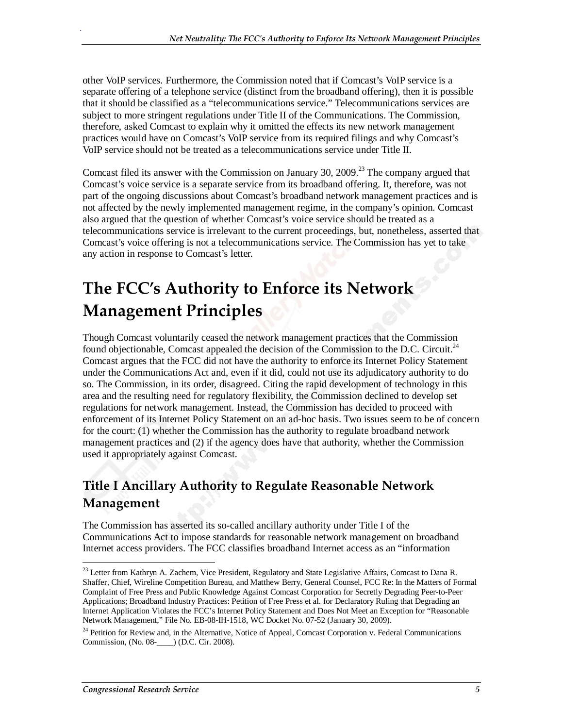other VoIP services. Furthermore, the Commission noted that if Comcast's VoIP service is a separate offering of a telephone service (distinct from the broadband offering), then it is possible that it should be classified as a "telecommunications service." Telecommunications services are subject to more stringent regulations under Title II of the Communications. The Commission, therefore, asked Comcast to explain why it omitted the effects its new network management practices would have on Comcast's VoIP service from its required filings and why Comcast's VoIP service should not be treated as a telecommunications service under Title II.

Comcast filed its answer with the Commission on January 30, 2009.<sup>23</sup> The company argued that Comcast's voice service is a separate service from its broadband offering. It, therefore, was not part of the ongoing discussions about Comcast's broadband network management practices and is not affected by the newly implemented management regime, in the company's opinion. Comcast also argued that the question of whether Comcast's voice service should be treated as a telecommunications service is irrelevant to the current proceedings, but, nonetheless, asserted that Comcast's voice offering is not a telecommunications service. The Commission has yet to take any action in response to Comcast's letter.

# **The FCC's Authority to Enforce its Network Management Principles**

Though Comcast voluntarily ceased the network management practices that the Commission found objectionable, Comcast appealed the decision of the Commission to the D.C. Circuit.<sup>24</sup> Comcast argues that the FCC did not have the authority to enforce its Internet Policy Statement under the Communications Act and, even if it did, could not use its adjudicatory authority to do so. The Commission, in its order, disagreed. Citing the rapid development of technology in this area and the resulting need for regulatory flexibility, the Commission declined to develop set regulations for network management. Instead, the Commission has decided to proceed with enforcement of its Internet Policy Statement on an ad-hoc basis. Two issues seem to be of concern for the court: (1) whether the Commission has the authority to regulate broadband network management practices and (2) if the agency does have that authority, whether the Commission used it appropriately against Comcast.

#### **Title I Ancillary Authority to Regulate Reasonable Network Management**

The Commission has asserted its so-called ancillary authority under Title I of the Communications Act to impose standards for reasonable network management on broadband Internet access providers. The FCC classifies broadband Internet access as an "information

-

<sup>&</sup>lt;sup>23</sup> Letter from Kathryn A. Zachem, Vice President, Regulatory and State Legislative Affairs, Comcast to Dana R. Shaffer, Chief, Wireline Competition Bureau, and Matthew Berry, General Counsel, FCC Re: In the Matters of Formal Complaint of Free Press and Public Knowledge Against Comcast Corporation for Secretly Degrading Peer-to-Peer Applications; Broadband Industry Practices: Petition of Free Press et al. for Declaratory Ruling that Degrading an Internet Application Violates the FCC's Internet Policy Statement and Does Not Meet an Exception for "Reasonable Network Management," File No. EB-08-IH-1518, WC Docket No. 07-52 (January 30, 2009).

<sup>&</sup>lt;sup>24</sup> Petition for Review and, in the Alternative, Notice of Appeal, Comcast Corporation v. Federal Communications Commission, (No. 08-\_\_\_\_) (D.C. Cir. 2008).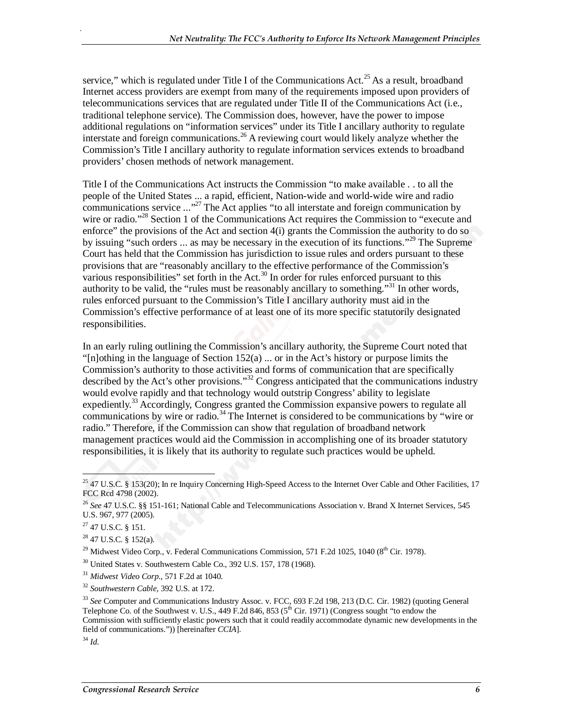service," which is regulated under Title I of the Communications Act.<sup>25</sup> As a result, broadband Internet access providers are exempt from many of the requirements imposed upon providers of telecommunications services that are regulated under Title II of the Communications Act (i.e., traditional telephone service). The Commission does, however, have the power to impose additional regulations on "information services" under its Title I ancillary authority to regulate interstate and foreign communications.<sup>26</sup> A reviewing court would likely analyze whether the Commission's Title I ancillary authority to regulate information services extends to broadband providers' chosen methods of network management.

Title I of the Communications Act instructs the Commission "to make available . . to all the people of the United States ... a rapid, efficient, Nation-wide and world-wide wire and radio communications service  $\ldots$ <sup>27</sup> The Act applies "to all interstate and foreign communication by wire or radio."<sup>28</sup> Section 1 of the Communications Act requires the Commission to "execute and enforce" the provisions of the Act and section  $4(i)$  grants the Commission the authority to do so by issuing "such orders ... as may be necessary in the execution of its functions."29 The Supreme Court has held that the Commission has jurisdiction to issue rules and orders pursuant to these provisions that are "reasonably ancillary to the effective performance of the Commission's various responsibilities" set forth in the Act.<sup>30</sup> In order for rules enforced pursuant to this authority to be valid, the "rules must be reasonably ancillary to something."31 In other words, rules enforced pursuant to the Commission's Title I ancillary authority must aid in the Commission's effective performance of at least one of its more specific statutorily designated responsibilities.

In an early ruling outlining the Commission's ancillary authority, the Supreme Court noted that "[n]othing in the language of Section  $152(a)$  ... or in the Act's history or purpose limits the Commission's authority to those activities and forms of communication that are specifically described by the Act's other provisions."32 Congress anticipated that the communications industry would evolve rapidly and that technology would outstrip Congress' ability to legislate expediently.<sup>33</sup> Accordingly, Congress granted the Commission expansive powers to regulate all communications by wire or radio.<sup>34</sup> The Internet is considered to be communications by "wire or radio." Therefore, if the Commission can show that regulation of broadband network management practices would aid the Commission in accomplishing one of its broader statutory responsibilities, it is likely that its authority to regulate such practices would be upheld.

27 47 U.S.C. § 151.

 $28$  47 U.S.C. § 152(a).

 $^{29}$  Midwest Video Corp., v. Federal Communications Commission, 571 F.2d 1025, 1040 ( $8^{th}$  Cir. 1978).

30 United States v. Southwestern Cable Co., 392 U.S. 157, 178 (1968).

<sup>31</sup> *Midwest Video Corp*., 571 F.2d at 1040. 32 *Southwestern Cable*, 392 U.S. at 172.

 $\overline{a}$ <sup>25</sup> 47 U.S.C. § 153(20); In re Inquiry Concerning High-Speed Access to the Internet Over Cable and Other Facilities, 17 FCC Rcd 4798 (2002).

<sup>26</sup> *See* 47 U.S.C. §§ 151-161; National Cable and Telecommunications Association v. Brand X Internet Services, 545 U.S. 967, 977 (2005).

<sup>33</sup> *See* Computer and Communications Industry Assoc. v. FCC, 693 F.2d 198, 213 (D.C. Cir. 1982) (quoting General Telephone Co. of the Southwest v. U.S., 449 F.2d 846, 853 ( $5<sup>th</sup>$  Cir. 1971) (Congress sought "to endow the Commission with sufficiently elastic powers such that it could readily accommodate dynamic new developments in the field of communications.")) [hereinafter *CCIA*].

<sup>34</sup> *Id*.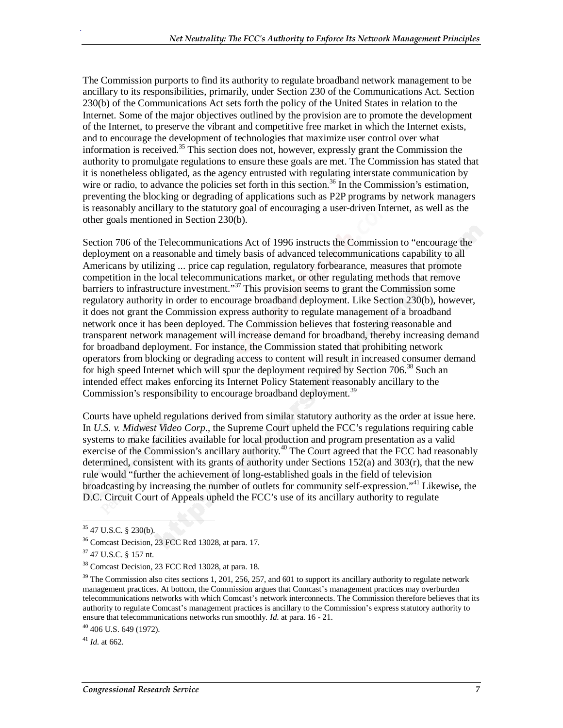The Commission purports to find its authority to regulate broadband network management to be ancillary to its responsibilities, primarily, under Section 230 of the Communications Act. Section 230(b) of the Communications Act sets forth the policy of the United States in relation to the Internet. Some of the major objectives outlined by the provision are to promote the development of the Internet, to preserve the vibrant and competitive free market in which the Internet exists, and to encourage the development of technologies that maximize user control over what information is received.<sup>35</sup> This section does not, however, expressly grant the Commission the authority to promulgate regulations to ensure these goals are met. The Commission has stated that it is nonetheless obligated, as the agency entrusted with regulating interstate communication by wire or radio, to advance the policies set forth in this section.<sup>36</sup> In the Commission's estimation, preventing the blocking or degrading of applications such as P2P programs by network managers is reasonably ancillary to the statutory goal of encouraging a user-driven Internet, as well as the other goals mentioned in Section 230(b).

Section 706 of the Telecommunications Act of 1996 instructs the Commission to "encourage the deployment on a reasonable and timely basis of advanced telecommunications capability to all Americans by utilizing ... price cap regulation, regulatory forbearance, measures that promote competition in the local telecommunications market, or other regulating methods that remove barriers to infrastructure investment."37 This provision seems to grant the Commission some regulatory authority in order to encourage broadband deployment. Like Section 230(b), however, it does not grant the Commission express authority to regulate management of a broadband network once it has been deployed. The Commission believes that fostering reasonable and transparent network management will increase demand for broadband, thereby increasing demand for broadband deployment. For instance, the Commission stated that prohibiting network operators from blocking or degrading access to content will result in increased consumer demand for high speed Internet which will spur the deployment required by Section 706.<sup>38</sup> Such an intended effect makes enforcing its Internet Policy Statement reasonably ancillary to the Commission's responsibility to encourage broadband deployment.<sup>39</sup>

Courts have upheld regulations derived from similar statutory authority as the order at issue here. In *U.S. v. Midwest Video Corp*., the Supreme Court upheld the FCC's regulations requiring cable systems to make facilities available for local production and program presentation as a valid exercise of the Commission's ancillary authority.<sup>40</sup> The Court agreed that the FCC had reasonably determined, consistent with its grants of authority under Sections  $152(a)$  and  $303(r)$ , that the new rule would "further the achievement of long-established goals in the field of television broadcasting by increasing the number of outlets for community self-expression."<sup>41</sup> Likewise, the D.C. Circuit Court of Appeals upheld the FCC's use of its ancillary authority to regulate

.

 $41$  *Id.* at 662.

<sup>&</sup>lt;u>.</u>  $35$  47 U.S.C. § 230(b).

<sup>36</sup> Comcast Decision, 23 FCC Rcd 13028, at para. 17.

<sup>37 47</sup> U.S.C. § 157 nt.

<sup>38</sup> Comcast Decision, 23 FCC Rcd 13028, at para. 18.

<sup>&</sup>lt;sup>39</sup> The Commission also cites sections 1, 201, 256, 257, and 601 to support its ancillary authority to regulate network management practices. At bottom, the Commission argues that Comcast's management practices may overburden telecommunications networks with which Comcast's network interconnects. The Commission therefore believes that its authority to regulate Comcast's management practices is ancillary to the Commission's express statutory authority to ensure that telecommunications networks run smoothly. *Id.* at para. 16 - 21. <sup>40</sup> 406 U.S. 649 (1972).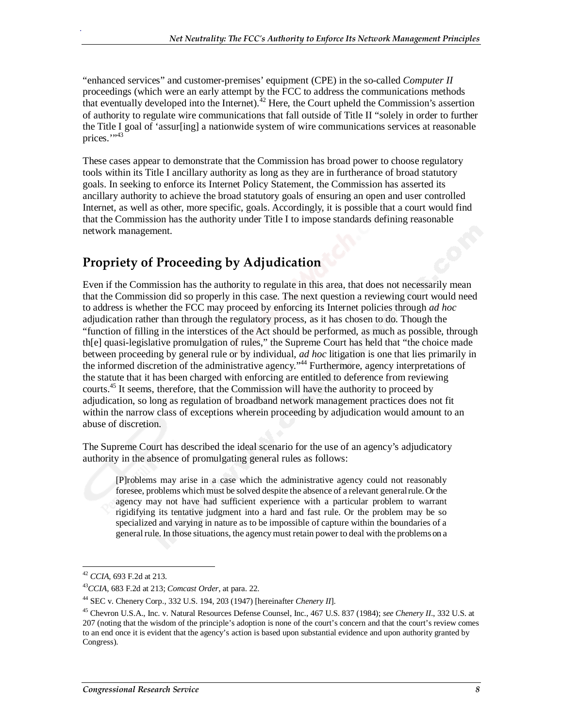"enhanced services" and customer-premises' equipment (CPE) in the so-called *Computer II* proceedings (which were an early attempt by the FCC to address the communications methods that eventually developed into the Internet).  $42$  Here, the Court upheld the Commission's assertion of authority to regulate wire communications that fall outside of Title II "solely in order to further the Title I goal of 'assur[ing] a nationwide system of wire communications services at reasonable prices. $\cdots$ <sup>43</sup>

These cases appear to demonstrate that the Commission has broad power to choose regulatory tools within its Title I ancillary authority as long as they are in furtherance of broad statutory goals. In seeking to enforce its Internet Policy Statement, the Commission has asserted its ancillary authority to achieve the broad statutory goals of ensuring an open and user controlled Internet, as well as other, more specific, goals. Accordingly, it is possible that a court would find that the Commission has the authority under Title I to impose standards defining reasonable network management.

#### **Propriety of Proceeding by Adjudication**

Even if the Commission has the authority to regulate in this area, that does not necessarily mean that the Commission did so properly in this case. The next question a reviewing court would need to address is whether the FCC may proceed by enforcing its Internet policies through *ad hoc* adjudication rather than through the regulatory process, as it has chosen to do. Though the "function of filling in the interstices of the Act should be performed, as much as possible, through th[e] quasi-legislative promulgation of rules," the Supreme Court has held that "the choice made between proceeding by general rule or by individual, *ad hoc* litigation is one that lies primarily in the informed discretion of the administrative agency."44 Furthermore, agency interpretations of the statute that it has been charged with enforcing are entitled to deference from reviewing courts.<sup>45</sup> It seems, therefore, that the Commission will have the authority to proceed by adjudication, so long as regulation of broadband network management practices does not fit within the narrow class of exceptions wherein proceeding by adjudication would amount to an abuse of discretion.

The Supreme Court has described the ideal scenario for the use of an agency's adjudicatory authority in the absence of promulgating general rules as follows:

[P]roblems may arise in a case which the administrative agency could not reasonably foresee, problems which must be solved despite the absence of a relevant general rule. Or the agency may not have had sufficient experience with a particular problem to warrant rigidifying its tentative judgment into a hard and fast rule. Or the problem may be so specialized and varying in nature as to be impossible of capture within the boundaries of a general rule. In those situations, the agency must retain power to deal with the problems on a

 $42$  CCIA, 693 F.2d at 213.

<sup>42</sup> *CCIA*, 693 F.2d at 213. 43*CCIA*, 683 F.2d at 213; *Comcast Order*, at para. 22.

<sup>44</sup> SEC v. Chenery Corp., 332 U.S. 194, 203 (1947) [hereinafter *Chenery II*].

<sup>45</sup> Chevron U.S.A., Inc. v. Natural Resources Defense Counsel, Inc., 467 U.S. 837 (1984); *see Chenery II*., 332 U.S. at 207 (noting that the wisdom of the principle's adoption is none of the court's concern and that the court's review comes to an end once it is evident that the agency's action is based upon substantial evidence and upon authority granted by Congress).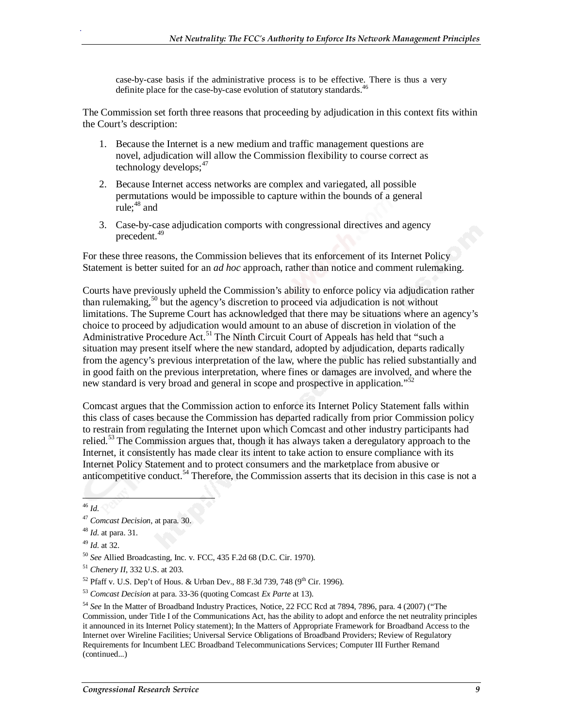case-by-case basis if the administrative process is to be effective. There is thus a very definite place for the case-by-case evolution of statutory standards.<sup>46</sup>

The Commission set forth three reasons that proceeding by adjudication in this context fits within the Court's description:

- 1. Because the Internet is a new medium and traffic management questions are novel, adjudication will allow the Commission flexibility to course correct as technology develops; $47$
- 2. Because Internet access networks are complex and variegated, all possible permutations would be impossible to capture within the bounds of a general rule: $48$  and
- 3. Case-by-case adjudication comports with congressional directives and agency precedent.49

For these three reasons, the Commission believes that its enforcement of its Internet Policy Statement is better suited for an *ad hoc* approach, rather than notice and comment rulemaking.

Courts have previously upheld the Commission's ability to enforce policy via adjudication rather than rulemaking,<sup>50</sup> but the agency's discretion to proceed via adjudication is not without limitations. The Supreme Court has acknowledged that there may be situations where an agency's choice to proceed by adjudication would amount to an abuse of discretion in violation of the Administrative Procedure Act.<sup>51</sup> The Ninth Circuit Court of Appeals has held that "such a situation may present itself where the new standard, adopted by adjudication, departs radically from the agency's previous interpretation of the law, where the public has relied substantially and in good faith on the previous interpretation, where fines or damages are involved, and where the new standard is very broad and general in scope and prospective in application."<sup>52</sup>

Comcast argues that the Commission action to enforce its Internet Policy Statement falls within this class of cases because the Commission has departed radically from prior Commission policy to restrain from regulating the Internet upon which Comcast and other industry participants had relied.<sup>53</sup> The Commission argues that, though it has always taken a deregulatory approach to the Internet, it consistently has made clear its intent to take action to ensure compliance with its Internet Policy Statement and to protect consumers and the marketplace from abusive or anticompetitive conduct.<sup>54</sup> Therefore, the Commission asserts that its decision in this case is not a

 $\overline{a}$ <sup>46</sup> *Id*.

<sup>47</sup> *Comcast Decision*, at para. 30.

<sup>48</sup> *Id*. at para. 31.

<sup>49</sup> *Id.* at 32.<br><sup>50</sup> *See* Allied Broadcasting, Inc. v. FCC, 435 F.2d 68 (D.C. Cir. 1970).

<sup>51</sup> *Chenery II*, 332 U.S. at 203.

 $52$  Pfaff v. U.S. Dep't of Hous. & Urban Dev., 88 F.3d 739, 748 (9<sup>th</sup> Cir. 1996).

<sup>53</sup> *Comcast Decision* at para. 33-36 (quoting Comcast *Ex Parte* at 13).

<sup>54</sup> *See* In the Matter of Broadband Industry Practices, Notice, 22 FCC Rcd at 7894, 7896, para. 4 (2007) ("The Commission, under Title I of the Communications Act, has the ability to adopt and enforce the net neutrality principles it announced in its Internet Policy statement); In the Matters of Appropriate Framework for Broadband Access to the Internet over Wireline Facilities; Universal Service Obligations of Broadband Providers; Review of Regulatory Requirements for Incumbent LEC Broadband Telecommunications Services; Computer III Further Remand (continued...)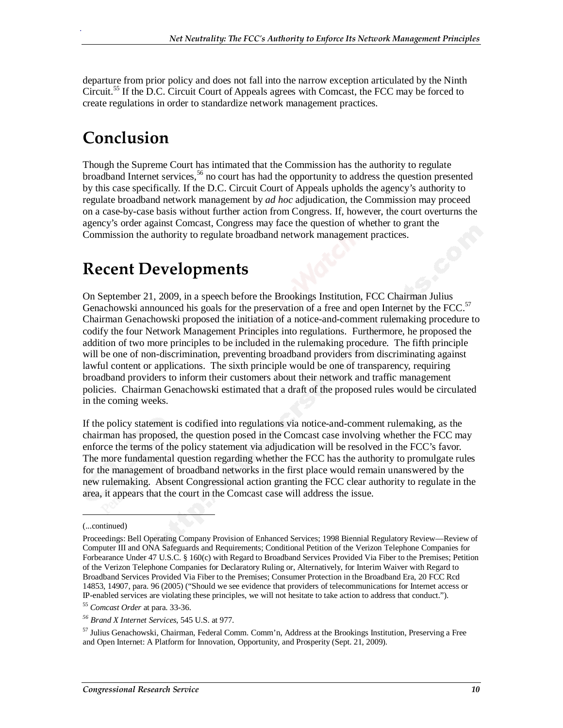departure from prior policy and does not fall into the narrow exception articulated by the Ninth Circuit.<sup>55</sup> If the D.C. Circuit Court of Appeals agrees with Comcast, the FCC may be forced to create regulations in order to standardize network management practices.

## **Conclusion**

.

Though the Supreme Court has intimated that the Commission has the authority to regulate broadband Internet services,  $56$  no court has had the opportunity to address the question presented by this case specifically. If the D.C. Circuit Court of Appeals upholds the agency's authority to regulate broadband network management by *ad hoc* adjudication, the Commission may proceed on a case-by-case basis without further action from Congress. If, however, the court overturns the agency's order against Comcast, Congress may face the question of whether to grant the Commission the authority to regulate broadband network management practices.

## **Recent Developments**

On September 21, 2009, in a speech before the Brookings Institution, FCC Chairman Julius Genachowski announced his goals for the preservation of a free and open Internet by the FCC.<sup>57</sup> Chairman Genachowski proposed the initiation of a notice-and-comment rulemaking procedure to codify the four Network Management Principles into regulations. Furthermore, he proposed the addition of two more principles to be included in the rulemaking procedure. The fifth principle will be one of non-discrimination, preventing broadband providers from discriminating against lawful content or applications. The sixth principle would be one of transparency, requiring broadband providers to inform their customers about their network and traffic management policies. Chairman Genachowski estimated that a draft of the proposed rules would be circulated in the coming weeks.

If the policy statement is codified into regulations via notice-and-comment rulemaking, as the chairman has proposed, the question posed in the Comcast case involving whether the FCC may enforce the terms of the policy statement via adjudication will be resolved in the FCC's favor. The more fundamental question regarding whether the FCC has the authority to promulgate rules for the management of broadband networks in the first place would remain unanswered by the new rulemaking. Absent Congressional action granting the FCC clear authority to regulate in the area, it appears that the court in the Comcast case will address the issue.

(...continued)

1

<sup>55</sup> *Comcast Order* at para. 33-36.

57 Julius Genachowski, Chairman, Federal Comm. Comm'n, Address at the Brookings Institution, Preserving a Free and Open Internet: A Platform for Innovation, Opportunity, and Prosperity (Sept. 21, 2009).

Proceedings: Bell Operating Company Provision of Enhanced Services; 1998 Biennial Regulatory Review—Review of Computer III and ONA Safeguards and Requirements; Conditional Petition of the Verizon Telephone Companies for Forbearance Under 47 U.S.C. § 160(c) with Regard to Broadband Services Provided Via Fiber to the Premises; Petition of the Verizon Telephone Companies for Declaratory Ruling or, Alternatively, for Interim Waiver with Regard to Broadband Services Provided Via Fiber to the Premises; Consumer Protection in the Broadband Era, 20 FCC Rcd 14853, 14907, para. 96 (2005) ("Should we see evidence that providers of telecommunications for Internet access or IP-enabled services are violating these principles, we will not hesitate to take action to address that conduct.").

*<sup>56</sup> Brand X Internet Services*, 545 U.S. at 977.